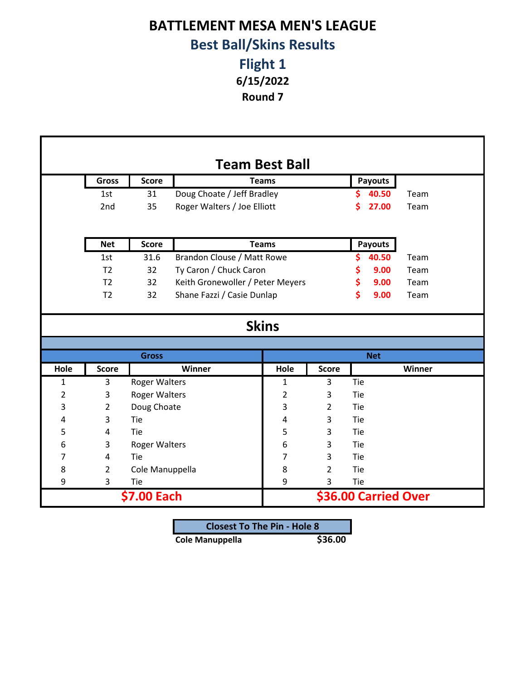## **BATTLEMENT MESA MEN'S LEAGUE Best Ball/Skins Results**

**Round 7 Flight 1 6/15/2022**

| <b>Team Best Ball</b> |                |                      |                                  |                |                |     |                      |        |
|-----------------------|----------------|----------------------|----------------------------------|----------------|----------------|-----|----------------------|--------|
|                       | <b>Gross</b>   | <b>Score</b>         | <b>Teams</b>                     |                |                |     | <b>Payouts</b>       |        |
|                       | 1st            | 31                   | Doug Choate / Jeff Bradley       |                |                |     | 40.50                | Team   |
|                       | 2nd            | 35                   | Roger Walters / Joe Elliott      |                |                | \$  | 27.00                | Team   |
|                       |                |                      |                                  |                |                |     |                      |        |
|                       | <b>Net</b>     | <b>Score</b>         |                                  | <b>Teams</b>   |                |     | Payouts              |        |
|                       | 1st            | 31.6                 | Brandon Clouse / Matt Rowe       |                |                | \$  | 40.50                | Team   |
|                       | T <sub>2</sub> | 32                   | Ty Caron / Chuck Caron           |                |                | \$  | 9.00                 | Team   |
|                       | T <sub>2</sub> | 32                   | Keith Gronewoller / Peter Meyers |                |                | \$  | 9.00                 | Team   |
|                       | T <sub>2</sub> | 32                   | Shane Fazzi / Casie Dunlap       |                |                | \$  | 9.00                 | Team   |
|                       |                |                      |                                  |                |                |     |                      |        |
|                       | <b>Skins</b>   |                      |                                  |                |                |     |                      |        |
|                       |                |                      |                                  |                |                |     |                      |        |
|                       |                | <b>Gross</b>         |                                  |                |                |     | <b>Net</b>           |        |
| Hole                  | <b>Score</b>   |                      | Winner                           | Hole           | <b>Score</b>   |     |                      | Winner |
| $\mathbf{1}$          | 3              | <b>Roger Walters</b> |                                  | $\mathbf{1}$   | 3              | Tie |                      |        |
| $\overline{2}$        | 3              | <b>Roger Walters</b> |                                  | $\overline{2}$ | 3              | Tie |                      |        |
| 3                     | $\overline{2}$ | Doug Choate          |                                  | 3              | $\overline{2}$ | Tie |                      |        |
| 4                     | 3              | Tie                  |                                  | 4              | 3              | Tie |                      |        |
| 5                     | 4              | Tie                  |                                  | 5              | 3              | Tie |                      |        |
| 6                     | 3              | <b>Roger Walters</b> |                                  | 6              | 3              | Tie |                      |        |
| 7                     | 4              | Tie                  |                                  | 7              | 3              | Tie |                      |        |
| 8                     | $\overline{2}$ | Cole Manuppella      |                                  | 8              | $\overline{2}$ | Tie |                      |        |
| 9                     | 3              | Tie                  |                                  | 9              | 3              | Tie |                      |        |
| \$7.00 Each           |                |                      |                                  |                |                |     | \$36.00 Carried Over |        |

| <b>Closest To The Pin - Hole 8</b> |         |
|------------------------------------|---------|
| <b>Cole Manuppella</b>             | \$36.00 |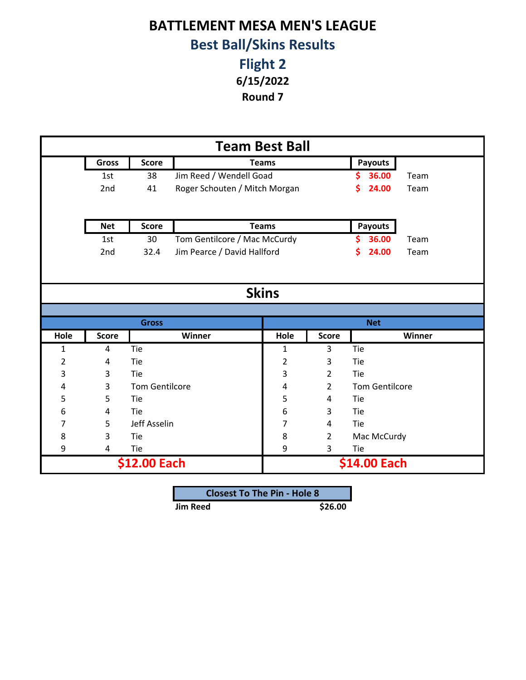## **BATTLEMENT MESA MEN'S LEAGUE Best Ball/Skins Results**

**Flight 2 6/15/2022**

**Round 7**

| <b>Team Best Ball</b> |              |                       |                               |                |                |                       |        |
|-----------------------|--------------|-----------------------|-------------------------------|----------------|----------------|-----------------------|--------|
|                       | <b>Gross</b> | <b>Score</b>          |                               | <b>Teams</b>   |                | <b>Payouts</b>        |        |
|                       | 1st          | 38                    | Jim Reed / Wendell Goad       |                |                | 36.00<br>S            | Team   |
|                       | 2nd          | 41                    | Roger Schouten / Mitch Morgan |                |                | \$<br>24.00           | Team   |
|                       |              |                       |                               |                |                |                       |        |
|                       | <b>Net</b>   | <b>Score</b>          |                               | <b>Teams</b>   |                | <b>Payouts</b>        |        |
|                       | 1st          | 30                    | Tom Gentilcore / Mac McCurdy  |                |                | \$<br>36.00           | Team   |
|                       | 2nd          | 32.4                  | Jim Pearce / David Hallford   |                |                | 24.00<br>S            | Team   |
|                       |              |                       |                               |                |                |                       |        |
|                       |              |                       |                               |                |                |                       |        |
| <b>Skins</b>          |              |                       |                               |                |                |                       |        |
|                       |              |                       |                               |                |                |                       |        |
|                       |              | <b>Gross</b>          |                               |                |                | <b>Net</b>            |        |
| Hole                  | <b>Score</b> |                       | Winner                        | Hole           | <b>Score</b>   |                       | Winner |
| 1                     | 4            | Tie                   |                               | 1              | 3              | Tie                   |        |
| $\overline{2}$        | 4            | Tie                   |                               | $\overline{2}$ | 3              | Tie                   |        |
| 3                     | 3            | Tie                   |                               | 3              | $\overline{2}$ | Tie                   |        |
| 4                     | 3            | <b>Tom Gentilcore</b> |                               | 4              | $\overline{2}$ | <b>Tom Gentilcore</b> |        |
| 5                     | 5            | Tie                   |                               | 5              | 4              | Tie                   |        |
| 6                     | 4            | Tie                   |                               | 6              | 3              | Tie                   |        |
| 7                     | 5            | Jeff Asselin          |                               | 7              | 4              | Tie                   |        |
| 8                     | 3            | Tie                   |                               | 8              | 2              | Mac McCurdy           |        |
| 9                     | 4            | Tie                   |                               | 9              | 3              | Tie                   |        |
|                       | \$12.00 Each |                       |                               |                |                | \$14.00 Each          |        |

| <b>Closest To The Pin - Hole 8</b> |         |
|------------------------------------|---------|
| <b>Jim Reed</b>                    | \$26.00 |